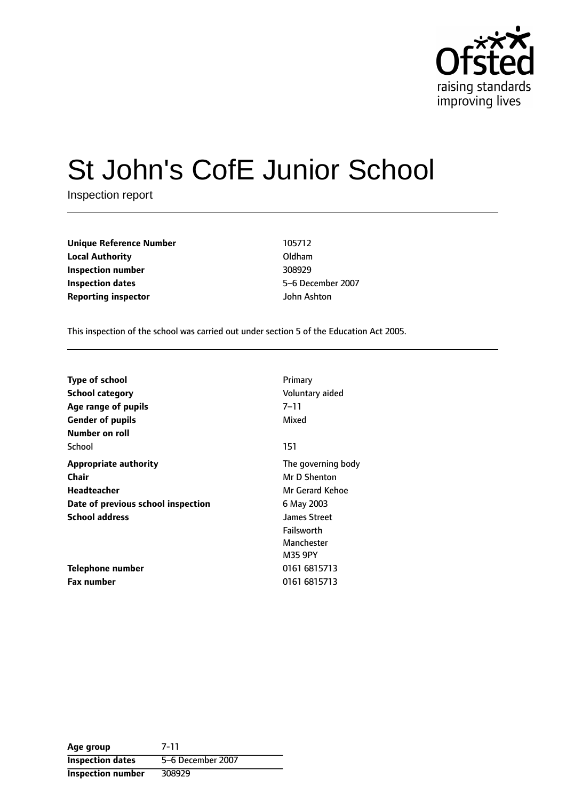

# St John's CofE Junior School

Inspection report

**Unique Reference Number** 105712 **Local Authority** Oldham **Inspection number** 308929 **Inspection dates** 5-6 December 2007 **Reporting inspector** John Ashton

This inspection of the school was carried out under section 5 of the Education Act 2005.

| <b>Type of school</b><br><b>School category</b><br>Age range of pupils<br><b>Gender of pupils</b><br>Number on roll | Primary<br>Voluntary aided<br>7–11<br>Mixed                       |
|---------------------------------------------------------------------------------------------------------------------|-------------------------------------------------------------------|
| School                                                                                                              | 151                                                               |
| <b>Appropriate authority</b><br>Chair<br>Headteacher                                                                | The governing body<br>Mr D Shenton<br>Mr Gerard Kehoe             |
| Date of previous school inspection                                                                                  | 6 May 2003                                                        |
| <b>School address</b>                                                                                               | <b>James Street</b><br>Failsworth<br>Manchester<br><b>M35 9PY</b> |
| Telephone number                                                                                                    | 0161 6815713                                                      |
| <b>Fax number</b>                                                                                                   | 0161 6815713                                                      |

**Age group** 7-11 **Inspection dates** 5-6 December 2007 **Inspection number** 308929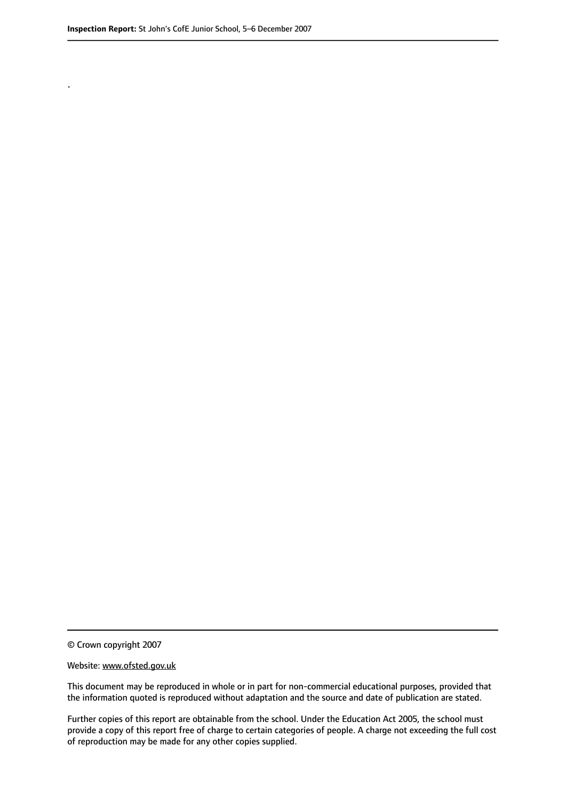.

© Crown copyright 2007

#### Website: www.ofsted.gov.uk

This document may be reproduced in whole or in part for non-commercial educational purposes, provided that the information quoted is reproduced without adaptation and the source and date of publication are stated.

Further copies of this report are obtainable from the school. Under the Education Act 2005, the school must provide a copy of this report free of charge to certain categories of people. A charge not exceeding the full cost of reproduction may be made for any other copies supplied.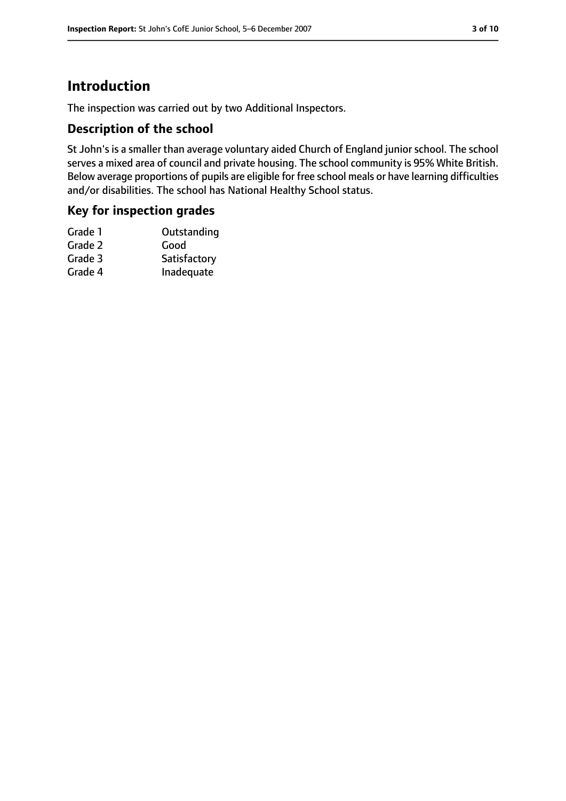## **Introduction**

The inspection was carried out by two Additional Inspectors.

#### **Description of the school**

St John's is a smaller than average voluntary aided Church of England junior school. The school serves a mixed area of council and private housing. The school community is 95% White British. Below average proportions of pupils are eligible for free school meals or have learning difficulties and/or disabilities. The school has National Healthy School status.

#### **Key for inspection grades**

| Satisfactory |
|--------------|
| Inadequate   |
|              |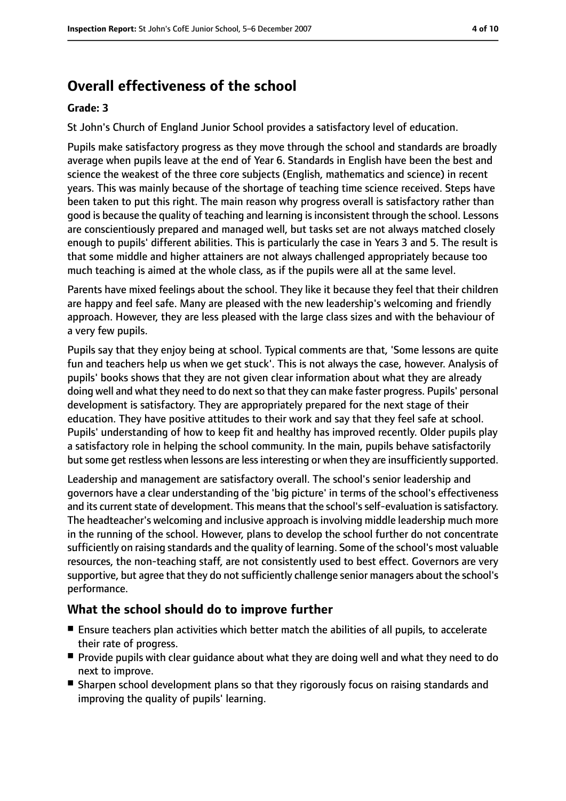# **Overall effectiveness of the school**

#### **Grade: 3**

St John's Church of England Junior School provides a satisfactory level of education.

Pupils make satisfactory progress as they move through the school and standards are broadly average when pupils leave at the end of Year 6. Standards in English have been the best and science the weakest of the three core subjects (English, mathematics and science) in recent years. This was mainly because of the shortage of teaching time science received. Steps have been taken to put this right. The main reason why progress overall is satisfactory rather than good is because the quality of teaching and learning is inconsistent through the school. Lessons are conscientiously prepared and managed well, but tasks set are not always matched closely enough to pupils' different abilities. This is particularly the case in Years 3 and 5. The result is that some middle and higher attainers are not always challenged appropriately because too much teaching is aimed at the whole class, as if the pupils were all at the same level.

Parents have mixed feelings about the school. They like it because they feel that their children are happy and feel safe. Many are pleased with the new leadership's welcoming and friendly approach. However, they are less pleased with the large class sizes and with the behaviour of a very few pupils.

Pupils say that they enjoy being at school. Typical comments are that, 'Some lessons are quite fun and teachers help us when we get stuck'. This is not always the case, however. Analysis of pupils' books shows that they are not given clear information about what they are already doing well and what they need to do next so that they can make faster progress. Pupils' personal development is satisfactory. They are appropriately prepared for the next stage of their education. They have positive attitudes to their work and say that they feel safe at school. Pupils' understanding of how to keep fit and healthy has improved recently. Older pupils play a satisfactory role in helping the school community. In the main, pupils behave satisfactorily but some get restless when lessons are less interesting or when they are insufficiently supported.

Leadership and management are satisfactory overall. The school's senior leadership and governors have a clear understanding of the 'big picture' in terms of the school's effectiveness and its current state of development. This means that the school's self-evaluation is satisfactory. The headteacher's welcoming and inclusive approach is involving middle leadership much more in the running of the school. However, plans to develop the school further do not concentrate sufficiently on raising standards and the quality of learning. Some of the school's most valuable resources, the non-teaching staff, are not consistently used to best effect. Governors are very supportive, but agree that they do not sufficiently challenge senior managers about the school's performance.

## **What the school should do to improve further**

- Ensure teachers plan activities which better match the abilities of all pupils, to accelerate their rate of progress.
- Provide pupils with clear quidance about what they are doing well and what they need to do next to improve.
- Sharpen school development plans so that they rigorously focus on raising standards and improving the quality of pupils' learning.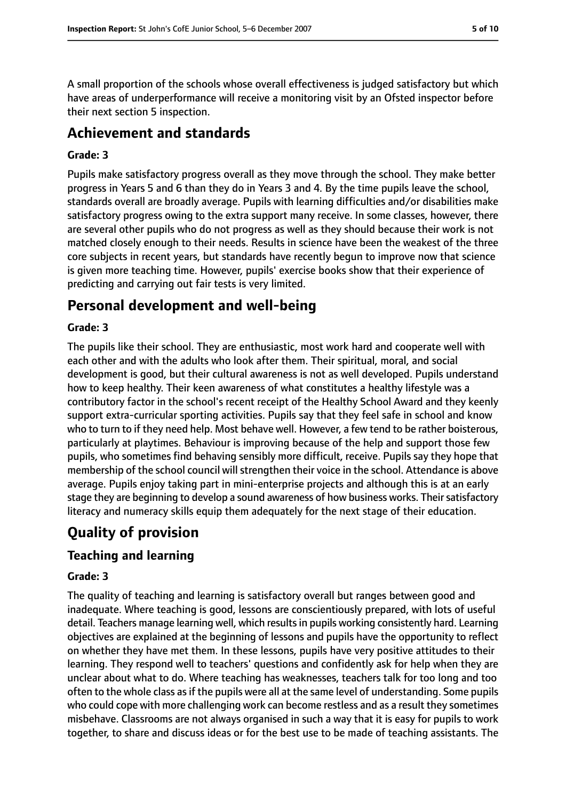A small proportion of the schools whose overall effectiveness is judged satisfactory but which have areas of underperformance will receive a monitoring visit by an Ofsted inspector before their next section 5 inspection.

## **Achievement and standards**

#### **Grade: 3**

Pupils make satisfactory progress overall as they move through the school. They make better progress in Years 5 and 6 than they do in Years 3 and 4. By the time pupils leave the school, standards overall are broadly average. Pupils with learning difficulties and/or disabilities make satisfactory progress owing to the extra support many receive. In some classes, however, there are several other pupils who do not progress as well as they should because their work is not matched closely enough to their needs. Results in science have been the weakest of the three core subjects in recent years, but standards have recently begun to improve now that science is given more teaching time. However, pupils' exercise books show that their experience of predicting and carrying out fair tests is very limited.

## **Personal development and well-being**

#### **Grade: 3**

The pupils like their school. They are enthusiastic, most work hard and cooperate well with each other and with the adults who look after them. Their spiritual, moral, and social development is good, but their cultural awareness is not as well developed. Pupils understand how to keep healthy. Their keen awareness of what constitutes a healthy lifestyle was a contributory factor in the school's recent receipt of the Healthy School Award and they keenly support extra-curricular sporting activities. Pupils say that they feel safe in school and know who to turn to if they need help. Most behave well. However, a few tend to be rather boisterous, particularly at playtimes. Behaviour is improving because of the help and support those few pupils, who sometimes find behaving sensibly more difficult, receive. Pupils say they hope that membership of the school council will strengthen their voice in the school. Attendance is above average. Pupils enjoy taking part in mini-enterprise projects and although this is at an early stage they are beginning to develop a sound awareness of how business works. Their satisfactory literacy and numeracy skills equip them adequately for the next stage of their education.

## **Quality of provision**

## **Teaching and learning**

#### **Grade: 3**

The quality of teaching and learning is satisfactory overall but ranges between good and inadequate. Where teaching is good, lessons are conscientiously prepared, with lots of useful detail. Teachers manage learning well, which resultsin pupils working consistently hard. Learning objectives are explained at the beginning of lessons and pupils have the opportunity to reflect on whether they have met them. In these lessons, pupils have very positive attitudes to their learning. They respond well to teachers' questions and confidently ask for help when they are unclear about what to do. Where teaching has weaknesses, teachers talk for too long and too often to the whole class as if the pupils were all at the same level of understanding. Some pupils who could cope with more challenging work can become restless and as a result they sometimes misbehave. Classrooms are not always organised in such a way that it is easy for pupils to work together, to share and discuss ideas or for the best use to be made of teaching assistants. The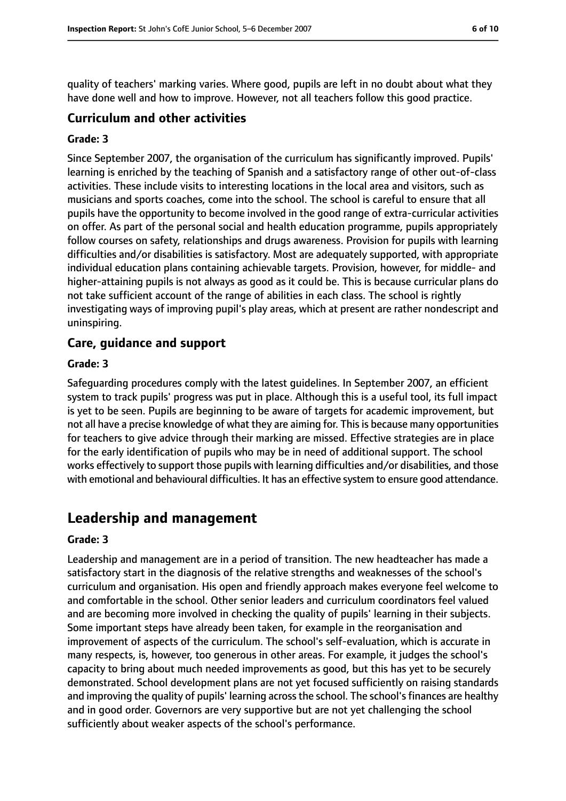quality of teachers' marking varies. Where good, pupils are left in no doubt about what they have done well and how to improve. However, not all teachers follow this good practice.

#### **Curriculum and other activities**

#### **Grade: 3**

Since September 2007, the organisation of the curriculum has significantly improved. Pupils' learning is enriched by the teaching of Spanish and a satisfactory range of other out-of-class activities. These include visits to interesting locations in the local area and visitors, such as musicians and sports coaches, come into the school. The school is careful to ensure that all pupils have the opportunity to become involved in the good range of extra-curricular activities on offer. As part of the personal social and health education programme, pupils appropriately follow courses on safety, relationships and drugs awareness. Provision for pupils with learning difficulties and/or disabilities is satisfactory. Most are adequately supported, with appropriate individual education plans containing achievable targets. Provision, however, for middle- and higher-attaining pupils is not always as good as it could be. This is because curricular plans do not take sufficient account of the range of abilities in each class. The school is rightly investigating ways of improving pupil's play areas, which at present are rather nondescript and uninspiring.

#### **Care, guidance and support**

#### **Grade: 3**

Safeguarding procedures comply with the latest guidelines. In September 2007, an efficient system to track pupils' progress was put in place. Although this is a useful tool, its full impact is yet to be seen. Pupils are beginning to be aware of targets for academic improvement, but not all have a precise knowledge of what they are aiming for. This is because many opportunities for teachers to give advice through their marking are missed. Effective strategies are in place for the early identification of pupils who may be in need of additional support. The school works effectively to support those pupils with learning difficulties and/or disabilities, and those with emotional and behavioural difficulties. It has an effective system to ensure good attendance.

## **Leadership and management**

#### **Grade: 3**

Leadership and management are in a period of transition. The new headteacher has made a satisfactory start in the diagnosis of the relative strengths and weaknesses of the school's curriculum and organisation. His open and friendly approach makes everyone feel welcome to and comfortable in the school. Other senior leaders and curriculum coordinators feel valued and are becoming more involved in checking the quality of pupils' learning in their subjects. Some important steps have already been taken, for example in the reorganisation and improvement of aspects of the curriculum. The school's self-evaluation, which is accurate in many respects, is, however, too generous in other areas. For example, it judges the school's capacity to bring about much needed improvements as good, but this has yet to be securely demonstrated. School development plans are not yet focused sufficiently on raising standards and improving the quality of pupils' learning across the school. The school's finances are healthy and in good order. Governors are very supportive but are not yet challenging the school sufficiently about weaker aspects of the school's performance.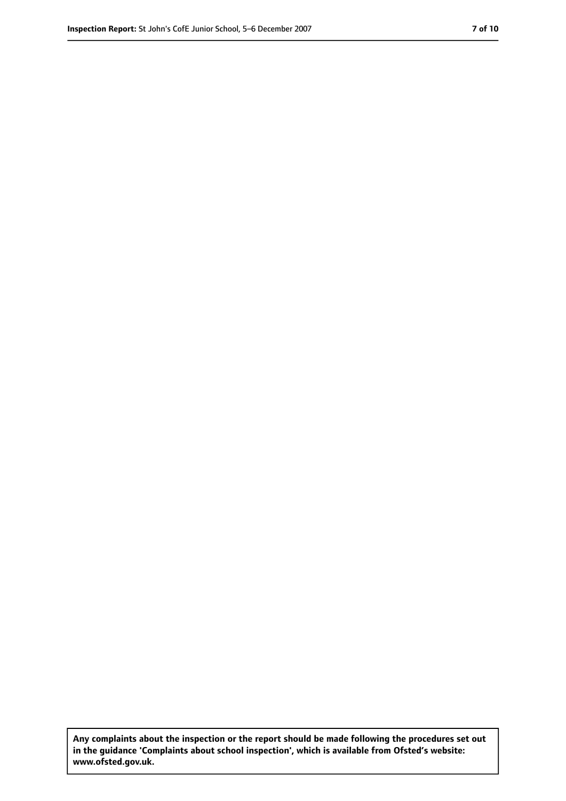**Any complaints about the inspection or the report should be made following the procedures set out in the guidance 'Complaints about school inspection', which is available from Ofsted's website: www.ofsted.gov.uk.**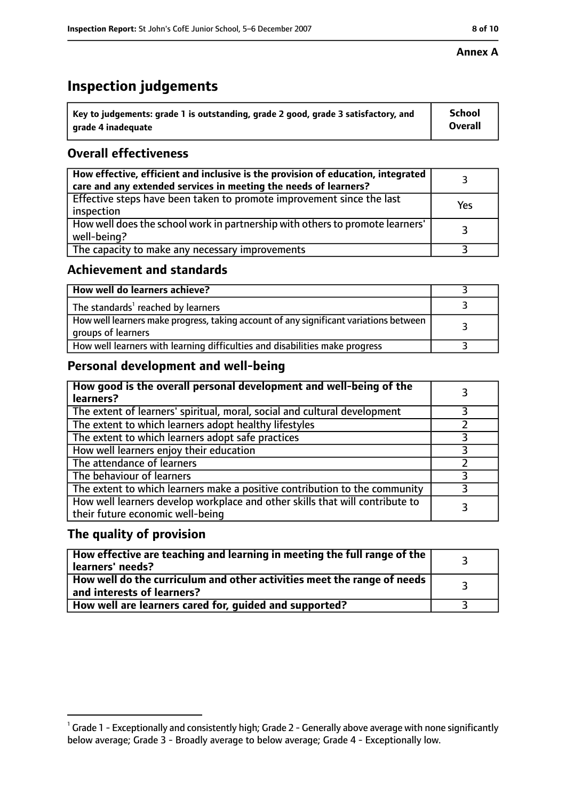#### **Annex A**

## **Inspection judgements**

| Key to judgements: grade 1 is outstanding, grade 2 good, grade 3 satisfactory, and | <b>School</b>  |
|------------------------------------------------------------------------------------|----------------|
| grade 4 inadequate                                                                 | <b>Overall</b> |

## **Overall effectiveness**

| How effective, efficient and inclusive is the provision of education, integrated<br>care and any extended services in meeting the needs of learners? |     |
|------------------------------------------------------------------------------------------------------------------------------------------------------|-----|
| Effective steps have been taken to promote improvement since the last<br>inspection                                                                  | Yes |
| How well does the school work in partnership with others to promote learners'<br>well-being?                                                         |     |
| The capacity to make any necessary improvements                                                                                                      |     |

#### **Achievement and standards**

| How well do learners achieve?                                                                               |  |
|-------------------------------------------------------------------------------------------------------------|--|
| The standards <sup>1</sup> reached by learners                                                              |  |
| How well learners make progress, taking account of any significant variations between<br>groups of learners |  |
| How well learners with learning difficulties and disabilities make progress                                 |  |

## **Personal development and well-being**

| How good is the overall personal development and well-being of the<br>learners?                                  |   |
|------------------------------------------------------------------------------------------------------------------|---|
| The extent of learners' spiritual, moral, social and cultural development                                        |   |
| The extent to which learners adopt healthy lifestyles                                                            |   |
| The extent to which learners adopt safe practices                                                                |   |
| How well learners enjoy their education                                                                          | 3 |
| The attendance of learners                                                                                       |   |
| The behaviour of learners                                                                                        |   |
| The extent to which learners make a positive contribution to the community                                       | 3 |
| How well learners develop workplace and other skills that will contribute to<br>their future economic well-being |   |

#### **The quality of provision**

| How effective are teaching and learning in meeting the full range of the<br>learners' needs?            |  |
|---------------------------------------------------------------------------------------------------------|--|
| How well do the curriculum and other activities meet the range of needs  <br>and interests of learners? |  |
| How well are learners cared for, guided and supported?                                                  |  |

 $^1$  Grade 1 - Exceptionally and consistently high; Grade 2 - Generally above average with none significantly below average; Grade 3 - Broadly average to below average; Grade 4 - Exceptionally low.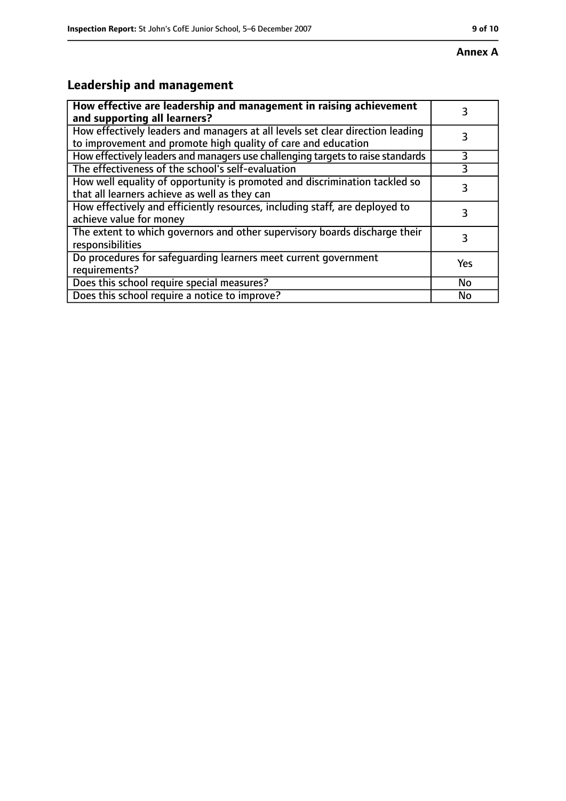## **Leadership and management**

| How effective are leadership and management in raising achievement<br>and supporting all learners?                                              |     |
|-------------------------------------------------------------------------------------------------------------------------------------------------|-----|
| How effectively leaders and managers at all levels set clear direction leading<br>to improvement and promote high quality of care and education |     |
| How effectively leaders and managers use challenging targets to raise standards                                                                 | 3   |
| The effectiveness of the school's self-evaluation                                                                                               |     |
| How well equality of opportunity is promoted and discrimination tackled so<br>that all learners achieve as well as they can                     |     |
| How effectively and efficiently resources, including staff, are deployed to<br>achieve value for money                                          | 3   |
| The extent to which governors and other supervisory boards discharge their<br>responsibilities                                                  | 3   |
| Do procedures for safequarding learners meet current government<br>requirements?                                                                | Yes |
| Does this school require special measures?                                                                                                      | No  |
| Does this school require a notice to improve?                                                                                                   | No  |